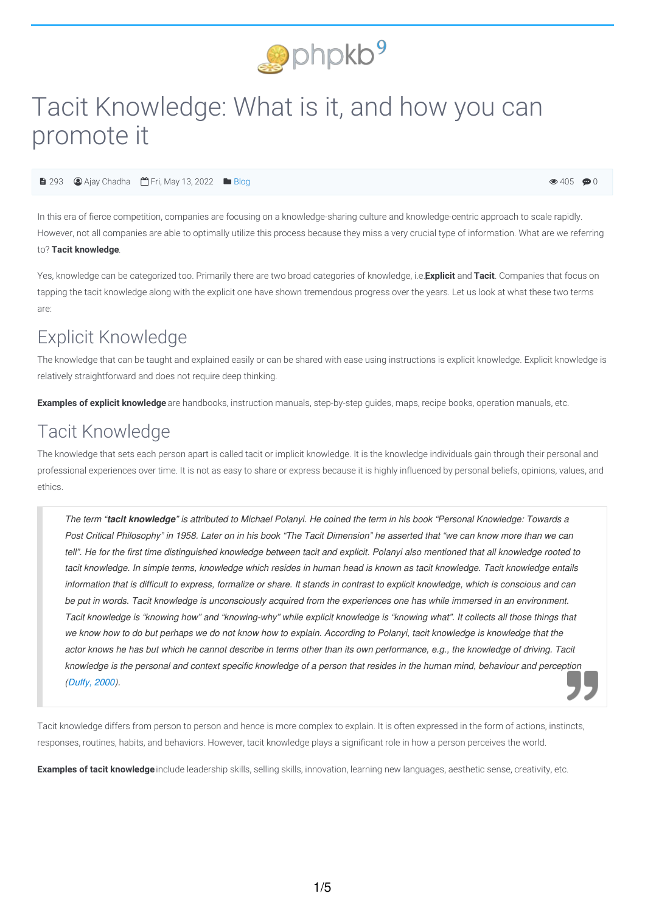

# Tacit Knowledge: What is it, and how you can promote it

**■ 293 ● Ajay Chadha** ■ Fri, May 13, 2022 ■ [Blog](https://www.phpkb.com/kb/category/knowledge-management/blog/40/)

 $\bullet$  405  $\bullet$  0

In this era of fierce competition, companies are focusing on a knowledge-sharing culture and knowledge-centric approach to scale rapidly. However, not all companies are able to optimally utilize this process because they miss a very crucial type of information. What are we referring to? **Tacit knowledge**.

Yes, knowledge can be categorized too. Primarily there are two broad categories of knowledge, i.e.**E**, **xplicit** and **Tacit**. Companies that focus on tapping the tacit knowledge along with the explicit one have shown tremendous progress over the years. Let us look at what these two terms are:

## Explicit Knowledge

The knowledge that can be taught and explained easily or can be shared with ease using instructions is explicit knowledge. Explicit knowledge is relatively straightforward and does not require deep thinking.

**Examples of explicit knowledge** are handbooks, instruction manuals, step-by-step guides, maps, recipe books, operation manuals, etc.

## Tacit Knowledge

The knowledge that sets each person apart is called tacit or implicit knowledge. It is the knowledge individuals gain through their personal and professional experiences over time. It is not as easy to share or express because it is highly influenced by personal beliefs, opinions, values, and ethics.

The term "tacit knowledge" is attributed to Michael Polanyi. He coined the term in his book "Personal Knowledge: Towards a Post Critical Philosophy" in 1958. Later on in his book "The Tacit Dimension" he asserted that "we can know more than we can tell". He for the first time distinguished knowledge between tacit and explicit. Polanyi also mentioned that all knowledge rooted to tacit knowledge. In simple terms, knowledge which resides in human head is known as tacit knowledge. Tacit knowledge entails information that is difficult to express, formalize or share. It stands in contrast to explicit knowledge, which is conscious and can be put in words. Tacit knowledge is unconsciously acquired from the experiences one has while immersed in an environment. Tacit knowledge is "knowing how" and "knowing-why" while explicit knowledge is "knowing what". It collects all those things that we know how to do but perhaps we do not know how to explain. According to Polanyi, tacit knowledge is knowledge that the actor knows he has but which he cannot describe in terms other than its own performance, e.g., the knowledge of driving. Tacit knowledge is the personal and context specific knowledge of a person that resides in the human mind, behaviour and perception *[\(Duffy,](#page-4-0) 2000).*

Tacit knowledge differs from person to person and hence is more complex to explain. It is often expressed in the form of actions, instincts, responses, routines, habits, and behaviors. However, tacit knowledge plays a significant role in how a person perceives the world.

**Examples of tacit knowledge** include leadership skills, selling skills, innovation, learning new languages, aesthetic sense, creativity, etc.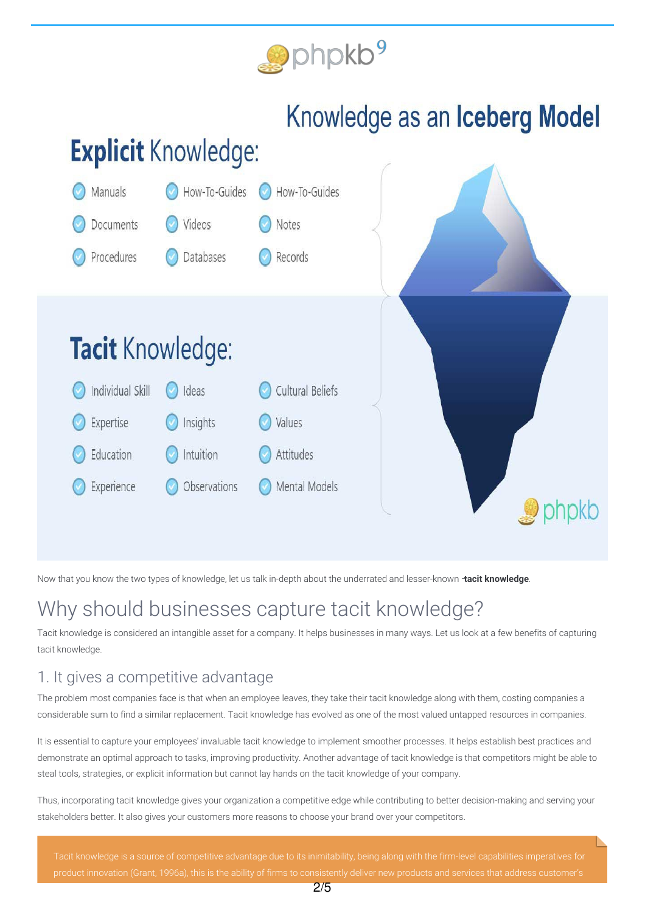

# Knowledge as an Iceberg Model

# **Explicit Knowledge:**



Now that you know the two types of knowledge, let us talk in-depth about the underrated and lesser-known –**tacit knowledge**.

## Why should businesses capture tacit knowledge?

Tacit knowledge is considered an intangible asset for a company. It helps businesses in many ways. Let us look at a few benefits of capturing tacit knowledge.

#### 1. It gives a competitive advantage

The problem most companies face is that when an employee leaves, they take their tacit knowledge along with them, costing companies a considerable sum to find a similar replacement. Tacit knowledge has evolved as one of the most valued untapped resources in companies.

It is essential to capture your employees' invaluable tacit knowledge to implement smoother processes. It helps establish best practices and demonstrate an optimal approach to tasks, improving productivity. Another advantage of tacit knowledge is that competitors might be able to steal tools, strategies, or explicit information but cannot lay hands on the tacit knowledge of your company.

Thus, incorporating tacit knowledge gives your organization a competitive edge while contributing to better decision-making and serving your stakeholders better. It also gives your customers more reasons to choose your brand over your competitors.

product innovation [\(Grant,](#page-4-1) 1996a), this is the ability of firms to consistently deliver new products and services that address customer's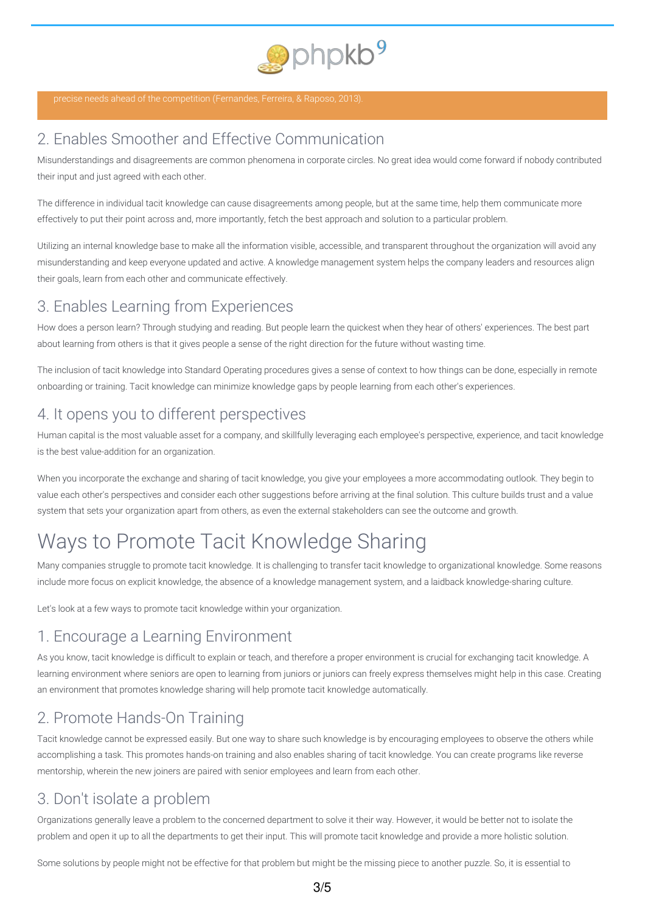

## 2. Enables Smoother and Effective Communication

Misunderstandings and disagreements are common phenomena in corporate circles. No great idea would come forward if nobody contributed their input and just agreed with each other.

The difference in individual tacit knowledge can cause disagreements among people, but at the same time, help them communicate more effectively to put their point across and, more importantly, fetch the best approach and solution to a particular problem.

Utilizing an internal knowledge base to make all the information visible, accessible, and transparent throughout the organization will avoid any misunderstanding and keep everyone updated and active. A knowledge management system helps the company leaders and resources align their goals, learn from each other and communicate effectively.

### 3. Enables Learning from Experiences

How does a person learn? Through studying and reading. But people learn the quickest when they hear of others' experiences. The best part about learning from others is that it gives people a sense of the right direction for the future without wasting time.

The inclusion of tacit knowledge into Standard Operating procedures gives a sense of context to how things can be done, especially in remote onboarding or training. Tacit knowledge can minimize knowledge gaps by people learning from each other's experiences.

### 4. It opens you to different perspectives

Human capital is the most valuable asset for a company, and skillfully leveraging each employee's perspective, experience, and tacit knowledge is the best value-addition for an organization.

When you incorporate the exchange and sharing of tacit knowledge, you give your employees a more accommodating outlook. They begin to value each other's perspectives and consider each other suggestions before arriving at the final solution. This culture builds trust and a value system that sets your organization apart from others, as even the external stakeholders can see the outcome and growth.

## Ways to Promote Tacit Knowledge Sharing

Many companies struggle to promote tacit knowledge. It is challenging to transfer tacit knowledge to organizational knowledge. Some reasons include more focus on explicit knowledge, the absence of a knowledge management system, and a laidback knowledge-sharing culture.

Let's look at a few ways to promote tacit knowledge within your organization.

## 1. Encourage a Learning Environment

As you know, tacit knowledge is difficult to explain or teach, and therefore a proper environment is crucial for exchanging tacit knowledge. A learning environment where seniors are open to learning from juniors or juniors can freely express themselves might help in this case. Creating an environment that promotes knowledge sharing will help promote tacit knowledge automatically.

## 2. Promote Hands-On Training

Tacit knowledge cannot be expressed easily. But one way to share such knowledge is by encouraging employees to observe the others while accomplishing a task. This promotes hands-on training and also enables sharing of tacit knowledge. You can create programs like reverse mentorship, wherein the new joiners are paired with senior employees and learn from each other.

## 3. Don't isolate a problem

Organizations generally leave a problem to the concerned department to solve it their way. However, it would be better not to isolate the problem and open it up to all the departments to get their input. This will promote tacit knowledge and provide a more holistic solution.

Some solutions by people might not be effective for that problem but might be the missing piece to another puzzle. So, it is essential to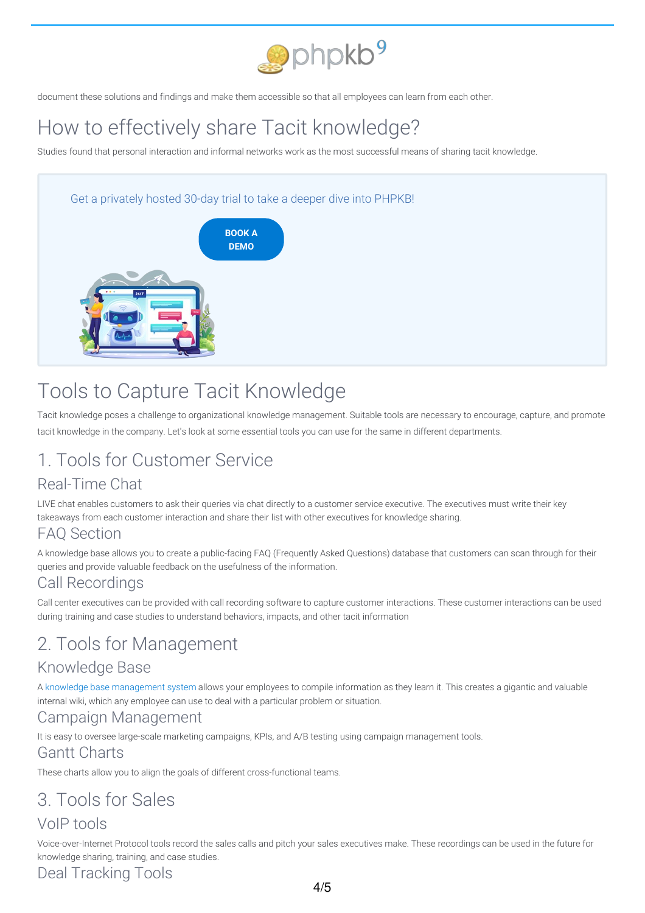

document these solutions and findings and make them accessible so that all employees can learn from each other.

# How to effectively share Tacit knowledge?

Studies found that personal interaction and informal networks work as the most successful means of sharing tacit knowledge.

#### Get a privately hosted 30-day trial to take a deeper dive into PHPKB!



## Tools to Capture Tacit Knowledge

Tacit knowledge poses a challenge to organizational knowledge management. Suitable tools are necessary to encourage, capture, and promote tacit knowledge in the company. Let's look at some essential tools you can use for the same in different departments.

## 1. Tools for Customer Service

## Real-Time Chat

LIVE chat enables customers to ask their queries via chat directly to a customer service executive. The executives must write their key takeaways from each customer interaction and share their list with other executives for knowledge sharing.

#### FAQ Section

A knowledge base allows you to create a public-facing FAQ (Frequently Asked Questions) database that customers can scan through for their queries and provide valuable feedback on the usefulness of the information.

### Call Recordings

Call center executives can be provided with call recording software to capture customer interactions. These customer interactions can be used during training and case studies to understand behaviors, impacts, and other tacit information

## 2. Tools for Management

#### Knowledge Base

A knowledge base [management](https://www.phpkb.com/knowledge-management-system) system allows your employees to compile information as they learn it. This creates a gigantic and valuable internal wiki, which any employee can use to deal with a particular problem or situation.

#### Campaign Management

It is easy to oversee large-scale marketing campaigns, KPIs, and A/B testing using campaign management tools.

#### Gantt Charts

These charts allow you to align the goals of different cross-functional teams.

# 3. Tools for Sales

### VoIP tools

Voice-over-Internet Protocol tools record the sales calls and pitch your sales executives make. These recordings can be used in the future for knowledge sharing, training, and case studies.

Deal Tracking Tools